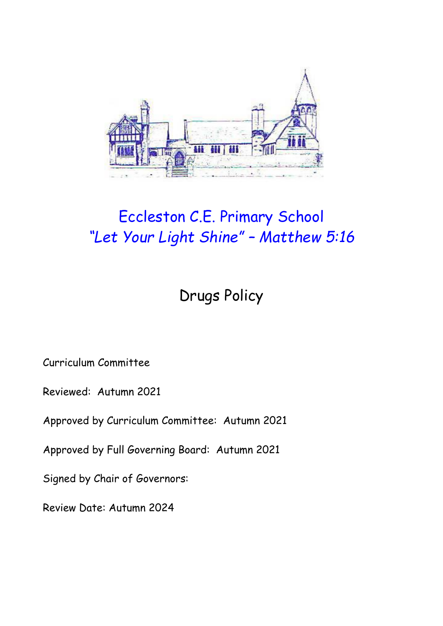

# Eccleston C.E. Primary School *"Let Your Light Shine" – Matthew 5:16*

Drugs Policy

Curriculum Committee

Reviewed: Autumn 2021

Approved by Curriculum Committee: Autumn 2021

Approved by Full Governing Board: Autumn 2021

Signed by Chair of Governors:

Review Date: Autumn 2024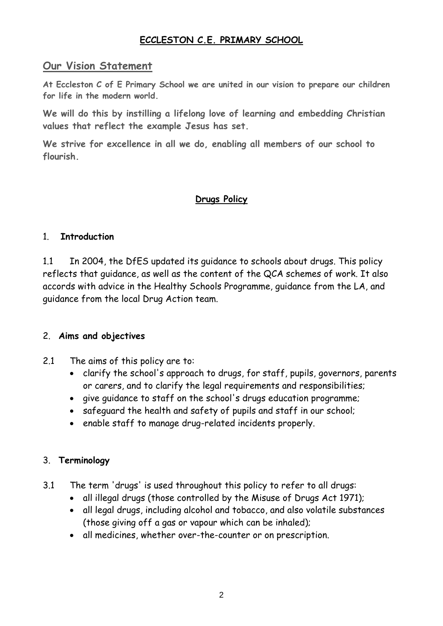#### **ECCLESTON C.E. PRIMARY SCHOOL**

#### **Our Vision Statement**

**At Eccleston C of E Primary School we are united in our vision to prepare our children for life in the modern world.**

**We will do this by instilling a lifelong love of learning and embedding Christian values that reflect the example Jesus has set.**

**We strive for excellence in all we do, enabling all members of our school to flourish.**

### **Drugs Policy**

#### 1. **Introduction**

1.1 In 2004, the DfES updated its guidance to schools about drugs. This policy reflects that guidance, as well as the content of the QCA schemes of work. It also accords with advice in the Healthy Schools Programme, guidance from the LA, and guidance from the local Drug Action team.

#### 2. **Aims and objectives**

- 2.1 The aims of this policy are to:
	- clarify the school's approach to drugs, for staff, pupils, governors, parents or carers, and to clarify the legal requirements and responsibilities;
	- give guidance to staff on the school's drugs education programme;
	- safeguard the health and safety of pupils and staff in our school;
	- enable staff to manage drug-related incidents properly.

#### 3. **Terminology**

- 3.1 The term 'drugs' is used throughout this policy to refer to all drugs:
	- all illegal drugs (those controlled by the Misuse of Drugs Act 1971);
	- all legal drugs, including alcohol and tobacco, and also volatile substances (those giving off a gas or vapour which can be inhaled);
	- all medicines, whether over-the-counter or on prescription.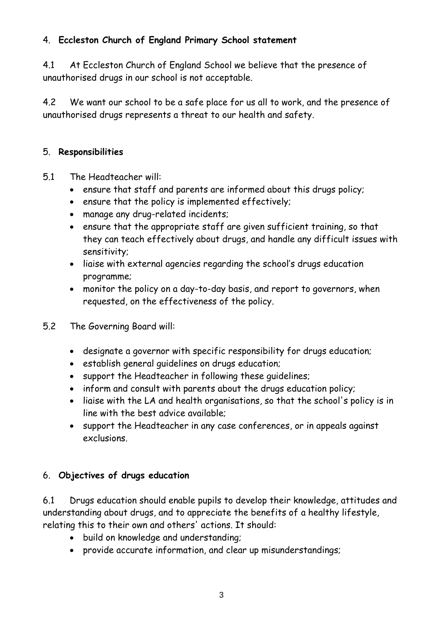# 4. **Eccleston Church of England Primary School statement**

4.1 At Eccleston Church of England School we believe that the presence of unauthorised drugs in our school is not acceptable.

4.2 We want our school to be a safe place for us all to work, and the presence of unauthorised drugs represents a threat to our health and safety.

## 5. **Responsibilities**

- 5.1 The Headteacher will:
	- ensure that staff and parents are informed about this drugs policy;
	- ensure that the policy is implemented effectively;
	- manage any drug-related incidents;
	- ensure that the appropriate staff are given sufficient training, so that they can teach effectively about drugs, and handle any difficult issues with sensitivity;
	- liaise with external agencies regarding the school's drugs education programme;
	- monitor the policy on a day-to-day basis, and report to governors, when requested, on the effectiveness of the policy.
- 5.2 The Governing Board will:
	- designate a governor with specific responsibility for drugs education;
	- establish general guidelines on drugs education;
	- support the Headteacher in following these guidelines;
	- inform and consult with parents about the drugs education policy;
	- liaise with the LA and health organisations, so that the school's policy is in line with the best advice available;
	- support the Headteacher in any case conferences, or in appeals against exclusions.

# 6. **Objectives of drugs education**

6.1 Drugs education should enable pupils to develop their knowledge, attitudes and understanding about drugs, and to appreciate the benefits of a healthy lifestyle, relating this to their own and others' actions. It should:

- build on knowledge and understanding;
- provide accurate information, and clear up misunderstandings;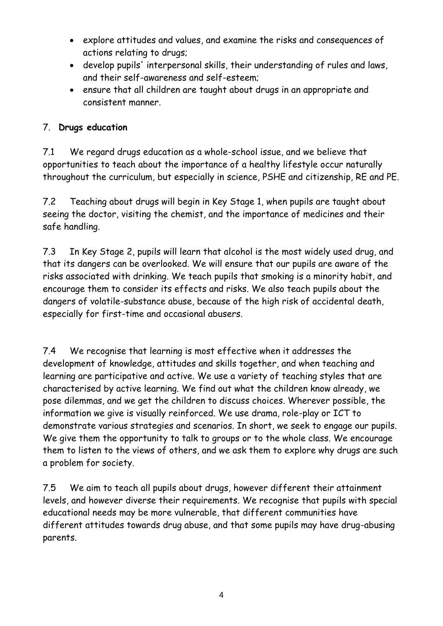- explore attitudes and values, and examine the risks and consequences of actions relating to drugs;
- develop pupils' interpersonal skills, their understanding of rules and laws, and their self-awareness and self-esteem;
- ensure that all children are taught about drugs in an appropriate and consistent manner.

# 7. **Drugs education**

7.1 We regard drugs education as a whole-school issue, and we believe that opportunities to teach about the importance of a healthy lifestyle occur naturally throughout the curriculum, but especially in science, PSHE and citizenship, RE and PE.

7.2 Teaching about drugs will begin in Key Stage 1, when pupils are taught about seeing the doctor, visiting the chemist, and the importance of medicines and their safe handling.

7.3 In Key Stage 2, pupils will learn that alcohol is the most widely used drug, and that its dangers can be overlooked. We will ensure that our pupils are aware of the risks associated with drinking. We teach pupils that smoking is a minority habit, and encourage them to consider its effects and risks. We also teach pupils about the dangers of volatile-substance abuse, because of the high risk of accidental death, especially for first-time and occasional abusers.

7.4 We recognise that learning is most effective when it addresses the development of knowledge, attitudes and skills together, and when teaching and learning are participative and active. We use a variety of teaching styles that are characterised by active learning. We find out what the children know already, we pose dilemmas, and we get the children to discuss choices. Wherever possible, the information we give is visually reinforced. We use drama, role-play or ICT to demonstrate various strategies and scenarios. In short, we seek to engage our pupils. We give them the opportunity to talk to groups or to the whole class. We encourage them to listen to the views of others, and we ask them to explore why drugs are such a problem for society.

7.5 We aim to teach all pupils about drugs, however different their attainment levels, and however diverse their requirements. We recognise that pupils with special educational needs may be more vulnerable, that different communities have different attitudes towards drug abuse, and that some pupils may have drug-abusing parents.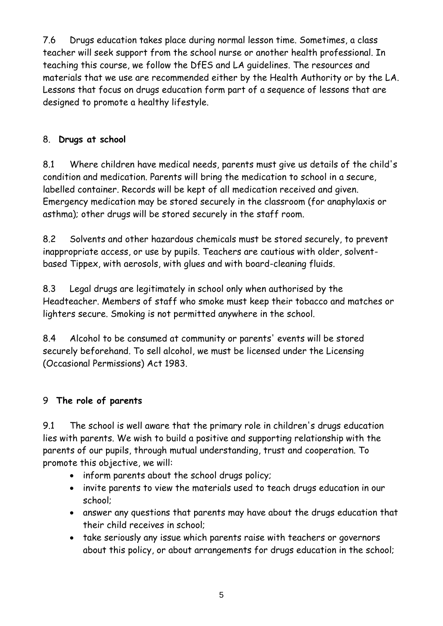7.6 Drugs education takes place during normal lesson time. Sometimes, a class teacher will seek support from the school nurse or another health professional. In teaching this course, we follow the DfES and LA guidelines. The resources and materials that we use are recommended either by the Health Authority or by the LA. Lessons that focus on drugs education form part of a sequence of lessons that are designed to promote a healthy lifestyle.

# 8. **Drugs at school**

8.1 Where children have medical needs, parents must give us details of the child's condition and medication. Parents will bring the medication to school in a secure, labelled container. Records will be kept of all medication received and given. Emergency medication may be stored securely in the classroom (for anaphylaxis or asthma); other drugs will be stored securely in the staff room.

8.2 Solvents and other hazardous chemicals must be stored securely, to prevent inappropriate access, or use by pupils. Teachers are cautious with older, solventbased Tippex, with aerosols, with glues and with board-cleaning fluids.

8.3 Legal drugs are legitimately in school only when authorised by the Headteacher. Members of staff who smoke must keep their tobacco and matches or lighters secure. Smoking is not permitted anywhere in the school.

8.4 Alcohol to be consumed at community or parents' events will be stored securely beforehand. To sell alcohol, we must be licensed under the Licensing (Occasional Permissions) Act 1983.

# 9 **The role of parents**

9.1 The school is well aware that the primary role in children's drugs education lies with parents. We wish to build a positive and supporting relationship with the parents of our pupils, through mutual understanding, trust and cooperation. To promote this objective, we will:

- inform parents about the school drugs policy;
- invite parents to view the materials used to teach drugs education in our school;
- answer any questions that parents may have about the drugs education that their child receives in school;
- take seriously any issue which parents raise with teachers or governors about this policy, or about arrangements for drugs education in the school;